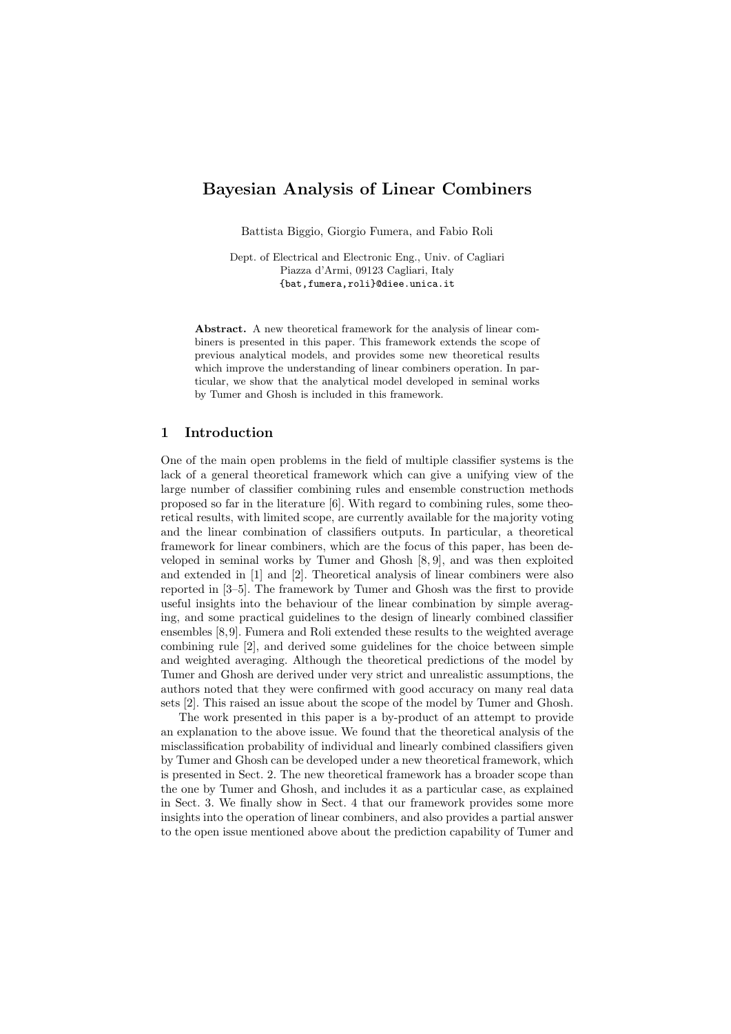# **Bayesian Analysis of Linear Combiners**

Battista Biggio, Giorgio Fumera, and Fabio Roli

Dept. of Electrical and Electronic Eng., Univ. of Cagliari Piazza d'Armi, 09123 Cagliari, Italy {bat,fumera,roli}@diee.unica.it

**Abstract.** A new theoretical framework for the analysis of linear combiners is presented in this paper. This framework extends the scope of previous analytical models, and provides some new theoretical results which improve the understanding of linear combiners operation. In particular, we show that the analytical model developed in seminal works by Tumer and Ghosh is included in this framework.

## **1 Introduction**

One of the main open problems in the field of multiple classifier systems is the lack of a general theoretical framework which can give a unifying view of the large number of classifier combining rules and ensemble construction methods proposed so far in the literature [6]. With regard to combining rules, some theoretical results, with limited scope, are currently available for the majority voting and the linear combination of classifiers outputs. In particular, a theoretical framework for linear combiners, which are the focus of this paper, has been developed in seminal works by Tumer and Ghosh [8, 9], and was then exploited and extended in [1] and [2]. Theoretical analysis of linear combiners were also reported in [3–5]. The framework by Tumer and Ghosh was the first to provide useful insights into the behaviour of the linear combination by simple averaging, and some practical guidelines to the design of linearly combined classifier ensembles [8,9]. Fumera and Roli extended these results to the weighted average combining rule [2], and derived some guidelines for the choice between simple and weighted averaging. Although the theoretical predictions of the model by Tumer and Ghosh are derived under very strict and unrealistic assumptions, the authors noted that they were confirmed with good accuracy on many real data sets [2]. This raised an issue about the scope of the model by Tumer and Ghosh.

The work presented in this paper is a by-product of an attempt to provide an explanation to the above issue. We found that the theoretical analysis of the misclassification probability of individual and linearly combined classifiers given by Tumer and Ghosh can be developed under a new theoretical framework, which is presented in Sect. 2. The new theoretical framework has a broader scope than the one by Tumer and Ghosh, and includes it as a particular case, as explained in Sect. 3. We finally show in Sect. 4 that our framework provides some more insights into the operation of linear combiners, and also provides a partial answer to the open issue mentioned above about the prediction capability of Tumer and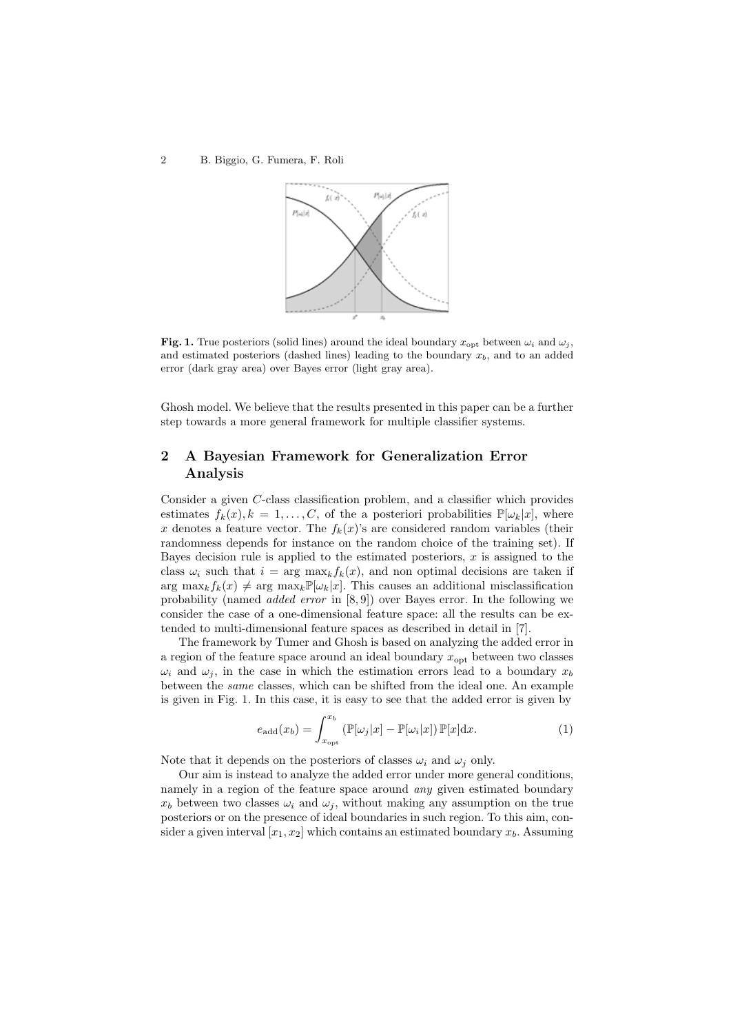

**Fig. 1.** True posteriors (solid lines) around the ideal boundary  $x_{opt}$  between  $\omega_i$  and  $\omega_j$ , and estimated posteriors (dashed lines) leading to the boundary  $x<sub>b</sub>$ , and to an added error (dark gray area) over Bayes error (light gray area).

Ghosh model. We believe that the results presented in this paper can be a further step towards a more general framework for multiple classifier systems.

## **2 A Bayesian Framework for Generalization Error Analysis**

Consider a given C-class classification problem, and a classifier which provides estimates  $f_k(x)$ ,  $k = 1, \ldots, C$ , of the a posteriori probabilities  $\mathbb{P}[\omega_k|x]$ , where x denotes a feature vector. The  $f_k(x)$ 's are considered random variables (their randomness depends for instance on the random choice of the training set). If Bayes decision rule is applied to the estimated posteriors,  $x$  is assigned to the class  $\omega_i$  such that  $i = \arg \max_k f_k(x)$ , and non optimal decisions are taken if  $\arg \max_k f_k(x) \neq \arg \max_k \mathbb{P}[\omega_k|x]$ . This causes an additional misclassification probability (named added error in [8, 9]) over Bayes error. In the following we consider the case of a one-dimensional feature space: all the results can be extended to multi-dimensional feature spaces as described in detail in [7].

The framework by Tumer and Ghosh is based on analyzing the added error in a region of the feature space around an ideal boundary  $x_{\text{opt}}$  between two classes  $\omega_i$  and  $\omega_j$ , in the case in which the estimation errors lead to a boundary  $x_b$ between the same classes, which can be shifted from the ideal one. An example is given in Fig. 1. In this case, it is easy to see that the added error is given by

$$
e_{\rm add}(x_b) = \int_{x_{\rm opt}}^{x_b} \left( \mathbb{P}[\omega_j | x] - \mathbb{P}[\omega_i | x] \right) \mathbb{P}[x] dx.
$$
 (1)

Note that it depends on the posteriors of classes  $\omega_i$  and  $\omega_j$  only.

Our aim is instead to analyze the added error under more general conditions, namely in a region of the feature space around *any* given estimated boundary  $x_b$  between two classes  $\omega_i$  and  $\omega_j$ , without making any assumption on the true posteriors or on the presence of ideal boundaries in such region. To this aim, consider a given interval  $[x_1, x_2]$  which contains an estimated boundary  $x_b$ . Assuming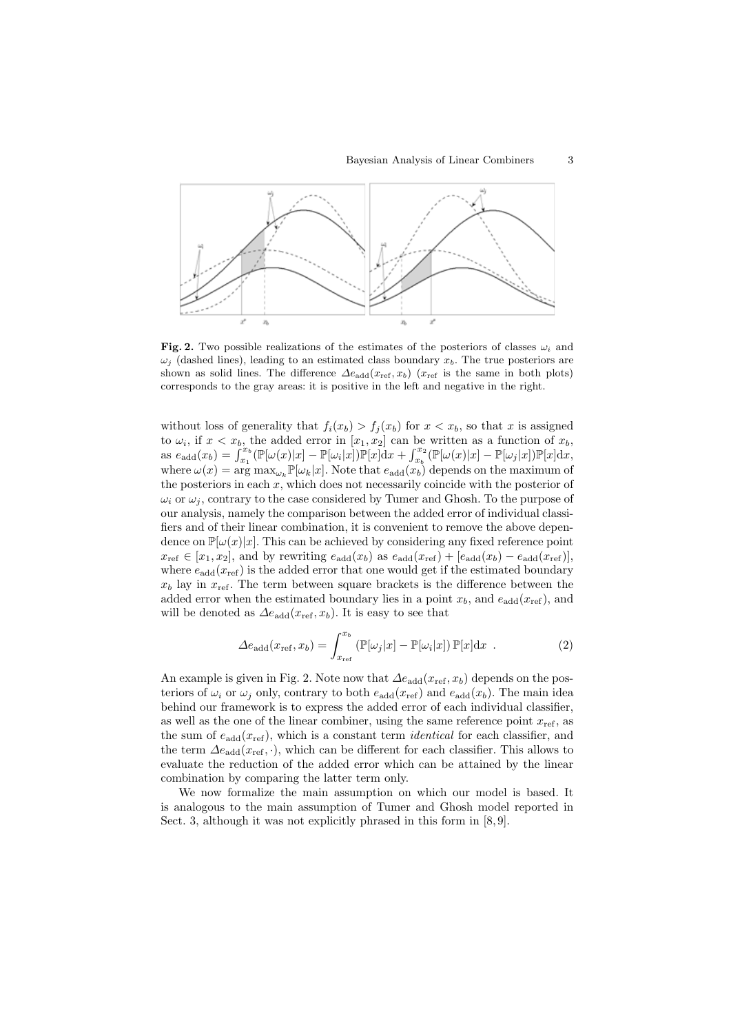

**Fig. 2.** Two possible realizations of the estimates of the posteriors of classes  $\omega_i$  and  $\omega_j$  (dashed lines), leading to an estimated class boundary  $x_b$ . The true posteriors are shown as solid lines. The difference  $\Delta e_{\text{add}}(x_{\text{ref}}, x_b)$  ( $x_{\text{ref}}$  is the same in both plots) corresponds to the gray areas: it is positive in the left and negative in the right.

without loss of generality that  $f_i(x_b) > f_j(x_b)$  for  $x < x_b$ , so that x is assigned to  $\omega_i$ , if  $x < x_b$ , the added error in  $[x_1, x_2]$  can be written as a function of  $x_b$ , as  $e_{\text{add}}(x_b) = \int_{x_1}^{x_b} (\mathbb{P}[\omega(x)|x] - \mathbb{P}[\omega_i|x]) \mathbb{P}[x] dx + \int_{x_b}^{x_2} (\mathbb{P}[\omega(x)|x] - \mathbb{P}[\omega_j|x]) \mathbb{P}[x] dx,$ where  $\omega(x) = \arg \max_{\omega_k} \mathbb{P}[\omega_k|x]$ . Note that  $e_{\text{add}}(x_b)$  depends on the maximum of the posteriors in each  $x$ , which does not necessarily coincide with the posterior of  $\omega_i$  or  $\omega_j$ , contrary to the case considered by Tumer and Ghosh. To the purpose of our analysis, namely the comparison between the added error of individual classifiers and of their linear combination, it is convenient to remove the above dependence on  $\mathbb{P}[\omega(x)|x]$ . This can be achieved by considering any fixed reference point  $x_{\text{ref}} \in [x_1, x_2]$ , and by rewriting  $e_{\text{add}}(x_b)$  as  $e_{\text{add}}(x_{\text{ref}}) + [e_{\text{add}}(x_b) - e_{\text{add}}(x_{\text{ref}})],$ where  $e_{\text{add}}(x_{\text{ref}})$  is the added error that one would get if the estimated boundary  $x_b$  lay in  $x_{\text{ref}}$ . The term between square brackets is the difference between the added error when the estimated boundary lies in a point  $x<sub>b</sub>$ , and  $e<sub>add</sub>(x<sub>ref</sub>)$ , and will be denoted as  $\Delta e_{\text{add}}(x_{\text{ref}}, x_b)$ . It is easy to see that

$$
\Delta e_{\rm add}(x_{\rm ref}, x_b) = \int_{x_{\rm ref}}^{x_b} \left( \mathbb{P}[\omega_j | x] - \mathbb{P}[\omega_i | x] \right) \mathbb{P}[x] dx \quad . \tag{2}
$$

An example is given in Fig. 2. Note now that  $\Delta e_{\text{add}}(x_{\text{ref}}, x_b)$  depends on the posteriors of  $\omega_i$  or  $\omega_j$  only, contrary to both  $e_{\text{add}}(x_{\text{ref}})$  and  $e_{\text{add}}(x_b)$ . The main idea behind our framework is to express the added error of each individual classifier, as well as the one of the linear combiner, using the same reference point  $x_{\text{ref}}$ , as the sum of  $e_{\text{add}}(x_{\text{ref}})$ , which is a constant term *identical* for each classifier, and the term  $\Delta e_{\text{add}}(x_{\text{ref}},\cdot)$ , which can be different for each classifier. This allows to evaluate the reduction of the added error which can be attained by the linear combination by comparing the latter term only.

We now formalize the main assumption on which our model is based. It is analogous to the main assumption of Tumer and Ghosh model reported in Sect. 3, although it was not explicitly phrased in this form in [8, 9].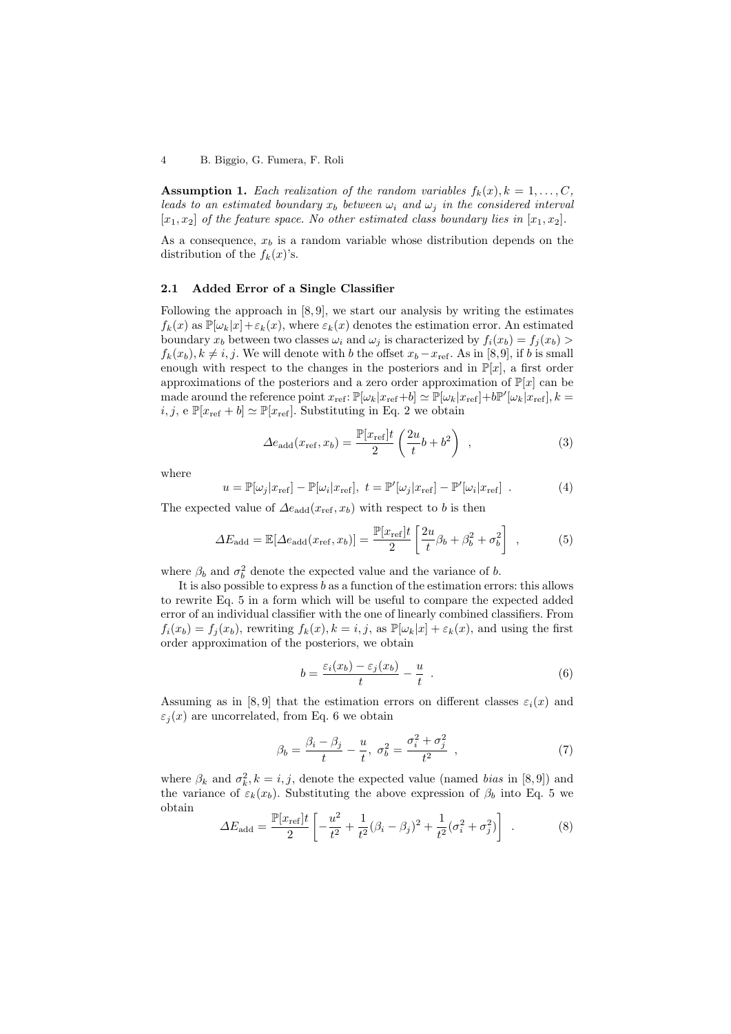**Assumption 1.** Each realization of the random variables  $f_k(x)$ ,  $k = 1, \ldots, C$ , leads to an estimated boundary  $x_b$  between  $\omega_i$  and  $\omega_j$  in the considered interval  $[x_1, x_2]$  of the feature space. No other estimated class boundary lies in  $[x_1, x_2]$ .

As a consequence,  $x_b$  is a random variable whose distribution depends on the distribution of the  $f_k(x)$ 's.

#### **2.1 Added Error of a Single Classifier**

Following the approach in  $[8, 9]$ , we start our analysis by writing the estimates  $f_k(x)$  as  $\mathbb{P}[\omega_k|x] + \varepsilon_k(x)$ , where  $\varepsilon_k(x)$  denotes the estimation error. An estimated boundary  $x_b$  between two classes  $\omega_i$  and  $\omega_j$  is characterized by  $f_i(x_b) = f_i(x_b) >$  $f_k(x_b), k \neq i, j$ . We will denote with b the offset  $x_b - x_{\text{ref}}$ . As in [8,9], if b is small enough with respect to the changes in the posteriors and in  $\mathbb{P}[x]$ , a first order approximations of the posteriors and a zero order approximation of  $\mathbb{P}[x]$  can be made around the reference point  $x_{\text{ref}}$ :  $\mathbb{P}[\omega_k | x_{\text{ref}} + b] \simeq \mathbb{P}[\omega_k | x_{\text{ref}}] + b \mathbb{P}'[\omega_k | x_{\text{ref}}], k =$  $i, j, e \mathbb{P}[x_{\text{ref}} + b] \simeq \mathbb{P}[x_{\text{ref}}]$ . Substituting in Eq. 2 we obtain

$$
\Delta e_{\rm add}(x_{\rm ref}, x_b) = \frac{\mathbb{P}[x_{\rm ref}]t}{2} \left(\frac{2u}{t}b + b^2\right) , \qquad (3)
$$

where

$$
u = \mathbb{P}[\omega_j | x_{\text{ref}}] - \mathbb{P}[\omega_i | x_{\text{ref}}], t = \mathbb{P}'[\omega_j | x_{\text{ref}}] - \mathbb{P}'[\omega_i | x_{\text{ref}}]. \tag{4}
$$

The expected value of  $\Delta e_{\text{add}}(x_{\text{ref}}, x_b)$  with respect to b is then

$$
\Delta E_{\rm add} = \mathbb{E}[\Delta e_{\rm add}(x_{\rm ref}, x_b)] = \frac{\mathbb{P}[x_{\rm ref}]t}{2} \left[ \frac{2u}{t} \beta_b + \beta_b^2 + \sigma_b^2 \right] \quad , \tag{5}
$$

where  $\beta_b$  and  $\sigma_b^2$  denote the expected value and the variance of b.

It is also possible to express  $b$  as a function of the estimation errors: this allows to rewrite Eq. 5 in a form which will be useful to compare the expected added error of an individual classifier with the one of linearly combined classifiers. From  $f_i(x_b) = f_j(x_b)$ , rewriting  $f_k(x), k = i, j$ , as  $\mathbb{P}[\omega_k|x] + \varepsilon_k(x)$ , and using the first order approximation of the posteriors, we obtain

$$
b = \frac{\varepsilon_i(x_b) - \varepsilon_j(x_b)}{t} - \frac{u}{t} . \tag{6}
$$

Assuming as in [8, 9] that the estimation errors on different classes  $\varepsilon_i(x)$  and  $\varepsilon_i(x)$  are uncorrelated, from Eq. 6 we obtain

$$
\beta_b = \frac{\beta_i - \beta_j}{t} - \frac{u}{t}, \ \sigma_b^2 = \frac{\sigma_i^2 + \sigma_j^2}{t^2}, \tag{7}
$$

where  $\beta_k$  and  $\sigma_k^2$ ,  $k = i, j$ , denote the expected value (named *bias* in [8,9]) and the variance of  $\varepsilon_k(x_b)$ . Substituting the above expression of  $\beta_b$  into Eq. 5 we obtain

$$
\Delta E_{\text{add}} = \frac{\mathbb{P}[x_{\text{ref}}]t}{2} \left[ -\frac{u^2}{t^2} + \frac{1}{t^2} (\beta_i - \beta_j)^2 + \frac{1}{t^2} (\sigma_i^2 + \sigma_j^2) \right] . \tag{8}
$$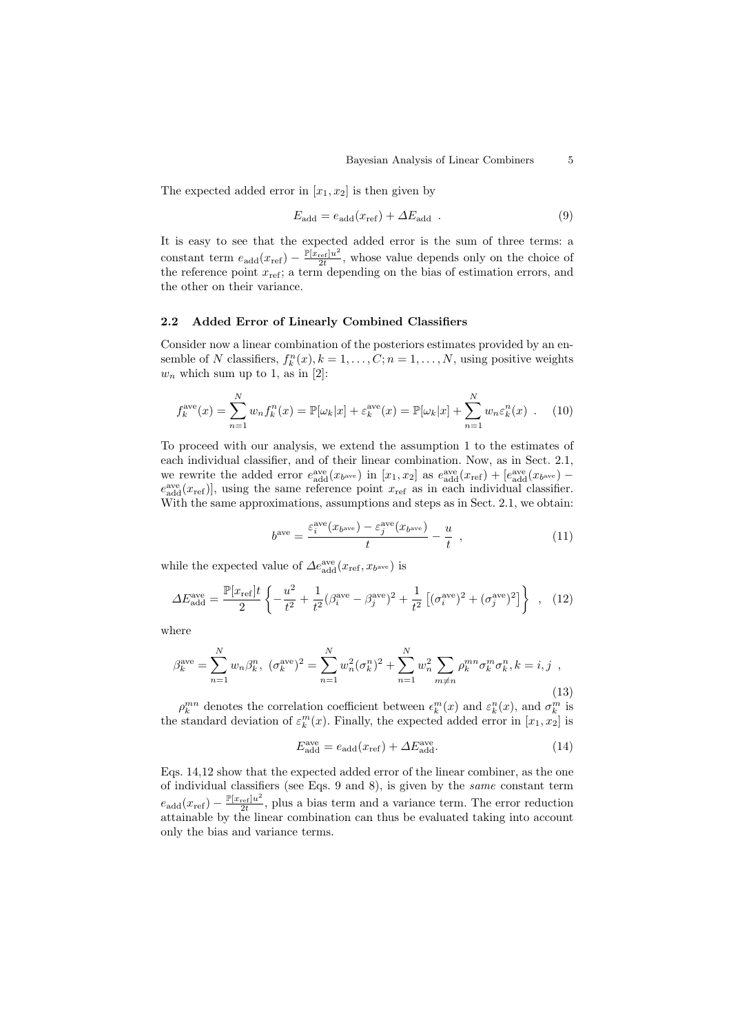The expected added error in  $[x_1, x_2]$  is then given by

$$
E_{\rm add} = e_{\rm add}(x_{\rm ref}) + \Delta E_{\rm add} . \tag{9}
$$

It is easy to see that the expected added error is the sum of three terms: a constant term  $e_{\text{add}}(x_{\text{ref}}) - \frac{\mathbb{P}[x_{\text{ref}}]u^2}{2t}$ , whose value depends only on the choice of the reference point  $x_{ref}$ ; a term depending on the bias of estimation errors, and the other on their variance.

#### **2.2 Added Error of Linearly Combined Classifiers**

Consider now a linear combination of the posteriors estimates provided by an ensemble of N classifiers,  $f_k^n(x)$ ,  $k = 1, ..., C; n = 1, ..., N$ , using positive weights  $w_n$  which sum up to 1, as in [2]:

$$
f_k^{\text{ave}}(x) = \sum_{n=1}^{N} w_n f_k^n(x) = \mathbb{P}[\omega_k | x] + \varepsilon_k^{\text{ave}}(x) = \mathbb{P}[\omega_k | x] + \sum_{n=1}^{N} w_n \varepsilon_k^n(x) . \tag{10}
$$

To proceed with our analysis, we extend the assumption 1 to the estimates of each individual classifier, and of their linear combination. Now, as in Sect. 2.1, we rewrite the added error  $e_{\text{add}}^{\text{ave}}(x_{b^{\text{ave}}})$  in  $[x_1, x_2]$  as  $e_{\text{add}}^{\text{ave}}(x_{\text{ref}}) + [e_{\text{add}}^{\text{ave}}(x_{b^{\text{ave}}})$  $e_{\text{add}}^{\text{ave}}(x_{\text{ref}})$ , using the same reference point  $x_{\text{ref}}$  as in each individual classifier. With the same approximations, assumptions and steps as in Sect. 2.1, we obtain:

$$
b^{\text{ave}} = \frac{\varepsilon_i^{\text{ave}}(x_{b^{\text{ave}}}) - \varepsilon_j^{\text{ave}}(x_{b^{\text{ave}}})}{t} - \frac{u}{t} \quad , \tag{11}
$$

while the expected value of  $\Delta e_{\text{add}}^{\text{ave}}(x_{\text{ref}}, x_{b^{\text{ave}}})$  is

$$
\Delta E_{\text{add}}^{\text{ave}} = \frac{\mathbb{P}[x_{\text{ref}}]t}{2} \left\{ -\frac{u^2}{t^2} + \frac{1}{t^2} (\beta_i^{\text{ave}} - \beta_j^{\text{ave}})^2 + \frac{1}{t^2} \left[ (\sigma_i^{\text{ave}})^2 + (\sigma_j^{\text{ave}})^2 \right] \right\} , \quad (12)
$$

where

$$
\beta_k^{\text{ave}} = \sum_{n=1}^N w_n \beta_k^n, \ (\sigma_k^{\text{ave}})^2 = \sum_{n=1}^N w_n^2 (\sigma_k^n)^2 + \sum_{n=1}^N w_n^2 \sum_{m \neq n} \rho_k^{mn} \sigma_k^m \sigma_k^n, k = i, j \tag{13}
$$

 $\rho_k^{mn}$  denotes the correlation coefficient between  $\epsilon_k^m(x)$  and  $\varepsilon_k^n(x)$ , and  $\sigma_k^m$  is the standard deviation of  $\varepsilon_k^m(x)$ . Finally, the expected added error in  $[x_1, x_2]$  is

$$
E_{\text{add}}^{\text{ave}} = e_{\text{add}}(x_{\text{ref}}) + \Delta E_{\text{add}}^{\text{ave}}.
$$
\n(14)

Eqs. 14,12 show that the expected added error of the linear combiner, as the one of individual classifiers (see Eqs. 9 and 8), is given by the same constant term  $e_{\text{add}}(x_{\text{ref}}) - \frac{\mathbb{P}[x_{\text{ref}}]u^2}{2t}$ , plus a bias term and a variance term. The error reduction attainable by the linear combination can thus be evaluated taking into account only the bias and variance terms.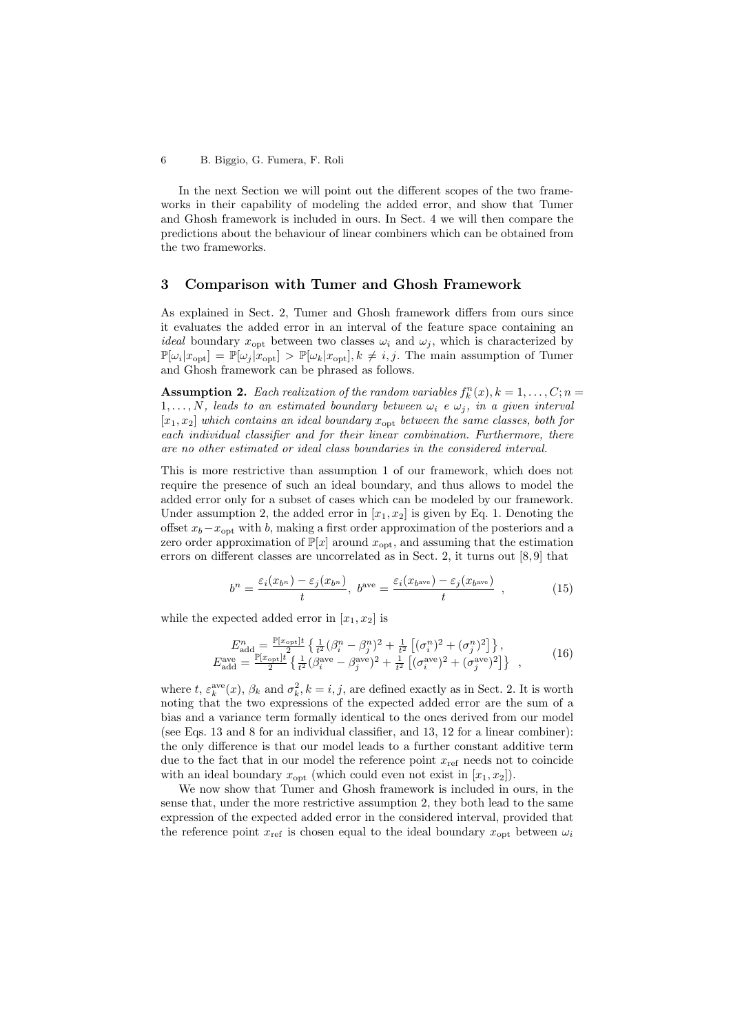In the next Section we will point out the different scopes of the two frameworks in their capability of modeling the added error, and show that Tumer and Ghosh framework is included in ours. In Sect. 4 we will then compare the predictions about the behaviour of linear combiners which can be obtained from the two frameworks.

### **3 Comparison with Tumer and Ghosh Framework**

As explained in Sect. 2, Tumer and Ghosh framework differs from ours since it evaluates the added error in an interval of the feature space containing an *ideal* boundary  $x_{opt}$  between two classes  $\omega_i$  and  $\omega_j$ , which is characterized by  $\mathbb{P}[\omega_i|x_{\text{opt}}] = \mathbb{P}[\omega_j|x_{\text{opt}}] > \mathbb{P}[\omega_k|x_{\text{opt}}], k \neq i, j$ . The main assumption of Tumer and Ghosh framework can be phrased as follows.

**Assumption 2.** Each realization of the random variables  $f_k^n(x)$ ,  $k = 1, \ldots, C; n =$  $1,\ldots,N$ , leads to an estimated boundary between  $\omega_i$  e  $\omega_j$ , in a given interval  $[x_1, x_2]$  which contains an ideal boundary  $x_{\text{opt}}$  between the same classes, both for each individual classifier and for their linear combination. Furthermore, there are no other estimated or ideal class boundaries in the considered interval.

This is more restrictive than assumption 1 of our framework, which does not require the presence of such an ideal boundary, and thus allows to model the added error only for a subset of cases which can be modeled by our framework. Under assumption 2, the added error in  $[x_1, x_2]$  is given by Eq. 1. Denoting the offset  $x_b-x_{\text{opt}}$  with b, making a first order approximation of the posteriors and a zero order approximation of  $\mathbb{P}[x]$  around  $x_{\text{opt}}$ , and assuming that the estimation errors on different classes are uncorrelated as in Sect. 2, it turns out [8, 9] that

$$
b^{n} = \frac{\varepsilon_{i}(x_{b^{n}}) - \varepsilon_{j}(x_{b^{n}})}{t}, \ b^{\text{ave}} = \frac{\varepsilon_{i}(x_{b^{\text{ave}}}) - \varepsilon_{j}(x_{b^{\text{ave}}})}{t}, \qquad (15)
$$

while the expected added error in  $[x_1, x_2]$  is

$$
E_{\text{add}}^{n} = \frac{\mathbb{P}[x_{\text{opt}}]t}{2} \left\{ \frac{1}{t^{2}} (\beta_{i}^{n} - \beta_{j}^{n})^{2} + \frac{1}{t^{2}} \left[ (\sigma_{i}^{n})^{2} + (\sigma_{j}^{n})^{2} \right] \right\},\
$$
  
\n
$$
E_{\text{add}}^{\text{ave}} = \frac{\mathbb{P}[x_{\text{opt}}]t}{2} \left\{ \frac{1}{t^{2}} (\beta_{i}^{\text{ave}} - \beta_{j}^{\text{ave}})^{2} + \frac{1}{t^{2}} \left[ (\sigma_{i}^{\text{ave}})^{2} + (\sigma_{j}^{\text{ave}})^{2} \right] \right\},
$$
\n(16)

where t,  $\varepsilon_k^{\text{ave}}(x)$ ,  $\beta_k$  and  $\sigma_k^2$ ,  $k = i, j$ , are defined exactly as in Sect. 2. It is worth noting that the two expressions of the expected added error are the sum of a bias and a variance term formally identical to the ones derived from our model (see Eqs. 13 and 8 for an individual classifier, and 13, 12 for a linear combiner): the only difference is that our model leads to a further constant additive term due to the fact that in our model the reference point  $x_{\text{ref}}$  needs not to coincide with an ideal boundary  $x_{\text{opt}}$  (which could even not exist in  $[x_1, x_2]$ ).

We now show that Tumer and Ghosh framework is included in ours, in the sense that, under the more restrictive assumption 2, they both lead to the same expression of the expected added error in the considered interval, provided that the reference point  $x_{ref}$  is chosen equal to the ideal boundary  $x_{opt}$  between  $\omega_i$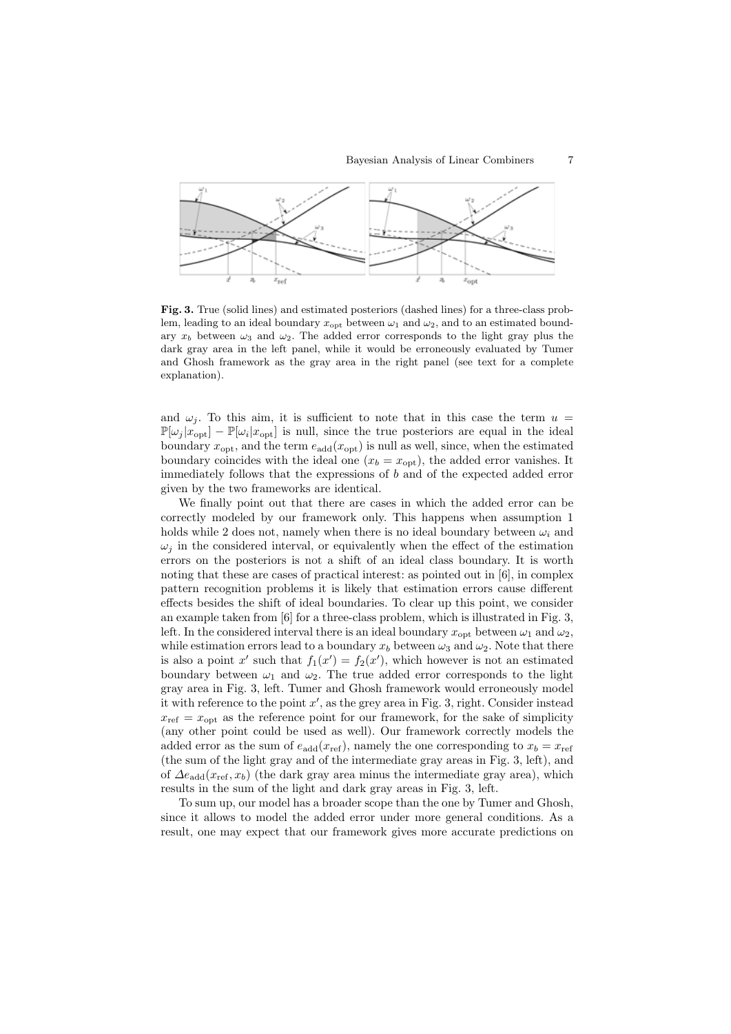

**Fig. 3.** True (solid lines) and estimated posteriors (dashed lines) for a three-class problem, leading to an ideal boundary  $x_{opt}$  between  $\omega_1$  and  $\omega_2$ , and to an estimated boundary  $x_b$  between  $\omega_3$  and  $\omega_2$ . The added error corresponds to the light gray plus the dark gray area in the left panel, while it would be erroneously evaluated by Tumer and Ghosh framework as the gray area in the right panel (see text for a complete explanation).

and  $\omega_i$ . To this aim, it is sufficient to note that in this case the term  $u =$  $\mathbb{P}[\omega_i | x_{\text{opt}}] - \mathbb{P}[\omega_i | x_{\text{opt}}]$  is null, since the true posteriors are equal in the ideal boundary  $x_{\text{opt}}$ , and the term  $e_{\text{add}}(x_{\text{opt}})$  is null as well, since, when the estimated boundary coincides with the ideal one  $(x_b = x_{opt})$ , the added error vanishes. It immediately follows that the expressions of b and of the expected added error given by the two frameworks are identical.

We finally point out that there are cases in which the added error can be correctly modeled by our framework only. This happens when assumption 1 holds while 2 does not, namely when there is no ideal boundary between  $\omega_i$  and  $\omega_i$  in the considered interval, or equivalently when the effect of the estimation errors on the posteriors is not a shift of an ideal class boundary. It is worth noting that these are cases of practical interest: as pointed out in [6], in complex pattern recognition problems it is likely that estimation errors cause different effects besides the shift of ideal boundaries. To clear up this point, we consider an example taken from [6] for a three-class problem, which is illustrated in Fig. 3, left. In the considered interval there is an ideal boundary  $x_{opt}$  between  $\omega_1$  and  $\omega_2$ , while estimation errors lead to a boundary  $x_b$  between  $\omega_3$  and  $\omega_2$ . Note that there is also a point x' such that  $f_1(x') = f_2(x')$ , which however is not an estimated boundary between  $\omega_1$  and  $\omega_2$ . The true added error corresponds to the light gray area in Fig. 3, left. Tumer and Ghosh framework would erroneously model it with reference to the point  $x'$ , as the grey area in Fig. 3, right. Consider instead  $x_{\text{ref}} = x_{\text{opt}}$  as the reference point for our framework, for the sake of simplicity (any other point could be used as well). Our framework correctly models the added error as the sum of  $e_{\text{add}}(x_{\text{ref}})$ , namely the one corresponding to  $x_b = x_{\text{ref}}$ (the sum of the light gray and of the intermediate gray areas in Fig. 3, left), and of  $\Delta e_{\text{add}}(x_{\text{ref}}, x_b)$  (the dark gray area minus the intermediate gray area), which results in the sum of the light and dark gray areas in Fig. 3, left.

To sum up, our model has a broader scope than the one by Tumer and Ghosh, since it allows to model the added error under more general conditions. As a result, one may expect that our framework gives more accurate predictions on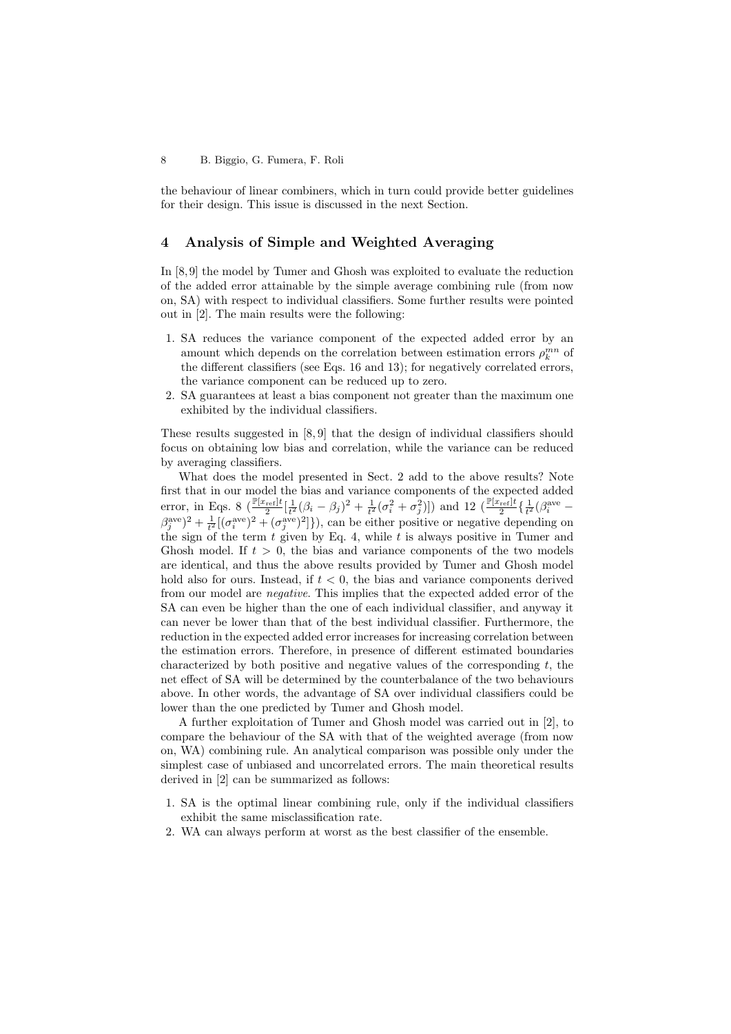the behaviour of linear combiners, which in turn could provide better guidelines for their design. This issue is discussed in the next Section.

### **4 Analysis of Simple and Weighted Averaging**

In [8, 9] the model by Tumer and Ghosh was exploited to evaluate the reduction of the added error attainable by the simple average combining rule (from now on, SA) with respect to individual classifiers. Some further results were pointed out in [2]. The main results were the following:

- 1. SA reduces the variance component of the expected added error by an amount which depends on the correlation between estimation errors  $\rho_k^{mn}$  of the different classifiers (see Eqs. 16 and 13); for negatively correlated errors, the variance component can be reduced up to zero.
- 2. SA guarantees at least a bias component not greater than the maximum one exhibited by the individual classifiers.

These results suggested in [8, 9] that the design of individual classifiers should focus on obtaining low bias and correlation, while the variance can be reduced by averaging classifiers.

What does the model presented in Sect. 2 add to the above results? Note first that in our model the bias and variance components of the expected added error, in Eqs. 8  $\left(\frac{\mathbb{P}[x_{\text{ref}}]t}{2}\left[\frac{1}{t^2}(\beta_i - \beta_j)^2 + \frac{1}{t^2}(\sigma_i^2 + \sigma_j^2)\right]\right)$  and 12  $\left(\frac{\mathbb{P}[x_{\text{ref}}]t}{2}\left{\frac{1}{t^2}(\beta_i^{\text{ave}} - \beta_j^{\text{ave}})^2 + \frac{1}{t^2}[(\sigma_i^{\text{ave}})^2 + (\sigma_j^{\text{ave}})^2]\right\}\right)$ , can be either positive or nega the sign of the term  $t$  given by Eq. 4, while  $t$  is always positive in Tumer and Ghosh model. If  $t > 0$ , the bias and variance components of the two models are identical, and thus the above results provided by Tumer and Ghosh model hold also for ours. Instead, if  $t < 0$ , the bias and variance components derived from our model are negative. This implies that the expected added error of the SA can even be higher than the one of each individual classifier, and anyway it can never be lower than that of the best individual classifier. Furthermore, the reduction in the expected added error increases for increasing correlation between the estimation errors. Therefore, in presence of different estimated boundaries characterized by both positive and negative values of the corresponding  $t$ , the net effect of SA will be determined by the counterbalance of the two behaviours above. In other words, the advantage of SA over individual classifiers could be lower than the one predicted by Tumer and Ghosh model.

A further exploitation of Tumer and Ghosh model was carried out in [2], to compare the behaviour of the SA with that of the weighted average (from now on, WA) combining rule. An analytical comparison was possible only under the simplest case of unbiased and uncorrelated errors. The main theoretical results derived in [2] can be summarized as follows:

- 1. SA is the optimal linear combining rule, only if the individual classifiers exhibit the same misclassification rate.
- 2. WA can always perform at worst as the best classifier of the ensemble.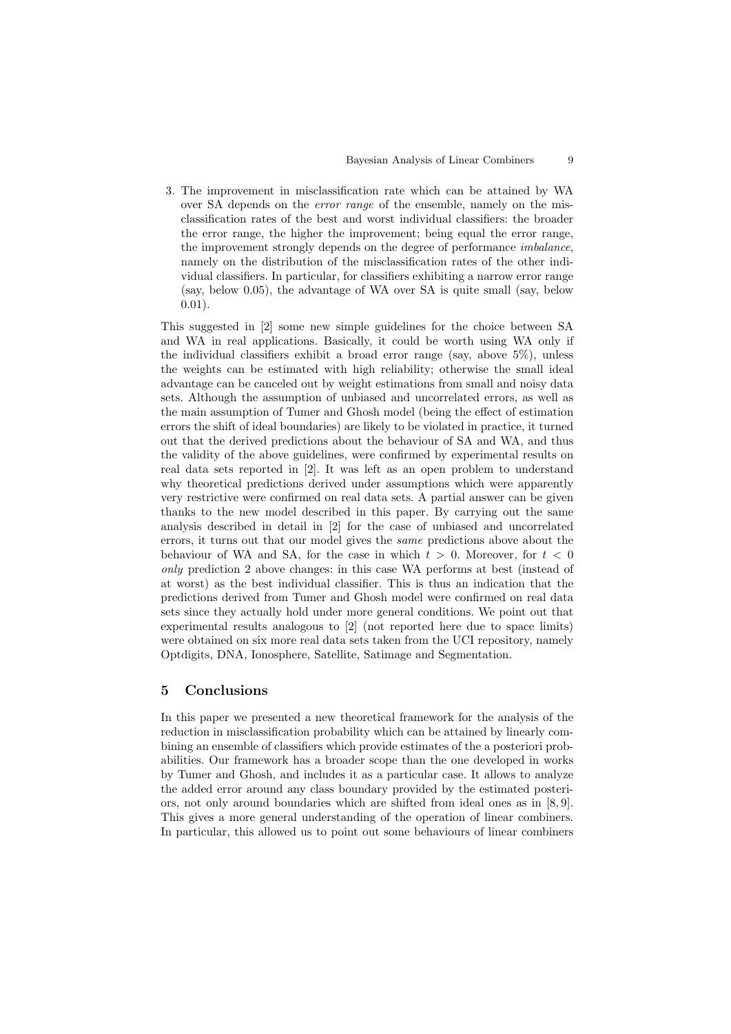3. The improvement in misclassification rate which can be attained by WA over SA depends on the error range of the ensemble, namely on the misclassification rates of the best and worst individual classifiers: the broader the error range, the higher the improvement; being equal the error range, the improvement strongly depends on the degree of performance imbalance, namely on the distribution of the misclassification rates of the other individual classifiers. In particular, for classifiers exhibiting a narrow error range (say, below 0.05), the advantage of WA over SA is quite small (say, below 0.01).

This suggested in [2] some new simple guidelines for the choice between SA and WA in real applications. Basically, it could be worth using WA only if the individual classifiers exhibit a broad error range (say, above 5%), unless the weights can be estimated with high reliability; otherwise the small ideal advantage can be canceled out by weight estimations from small and noisy data sets. Although the assumption of unbiased and uncorrelated errors, as well as the main assumption of Tumer and Ghosh model (being the effect of estimation errors the shift of ideal boundaries) are likely to be violated in practice, it turned out that the derived predictions about the behaviour of SA and WA, and thus the validity of the above guidelines, were confirmed by experimental results on real data sets reported in [2]. It was left as an open problem to understand why theoretical predictions derived under assumptions which were apparently very restrictive were confirmed on real data sets. A partial answer can be given thanks to the new model described in this paper. By carrying out the same analysis described in detail in [2] for the case of unbiased and uncorrelated errors, it turns out that our model gives the same predictions above about the behaviour of WA and SA, for the case in which  $t > 0$ . Moreover, for  $t < 0$ only prediction 2 above changes: in this case WA performs at best (instead of at worst) as the best individual classifier. This is thus an indication that the predictions derived from Tumer and Ghosh model were confirmed on real data sets since they actually hold under more general conditions. We point out that experimental results analogous to [2] (not reported here due to space limits) were obtained on six more real data sets taken from the UCI repository, namely Optdigits, DNA, Ionosphere, Satellite, Satimage and Segmentation.

## **5 Conclusions**

In this paper we presented a new theoretical framework for the analysis of the reduction in misclassification probability which can be attained by linearly combining an ensemble of classifiers which provide estimates of the a posteriori probabilities. Our framework has a broader scope than the one developed in works by Tumer and Ghosh, and includes it as a particular case. It allows to analyze the added error around any class boundary provided by the estimated posteriors, not only around boundaries which are shifted from ideal ones as in [8, 9]. This gives a more general understanding of the operation of linear combiners. In particular, this allowed us to point out some behaviours of linear combiners